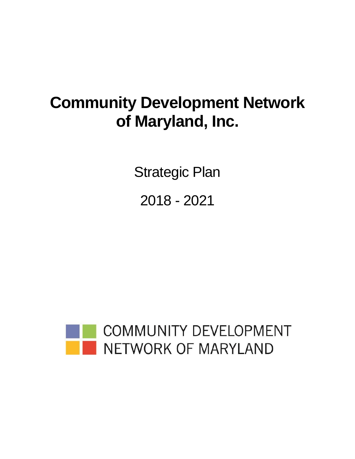# **Community Development Network of Maryland, Inc.**

Strategic Plan

2018 - 2021

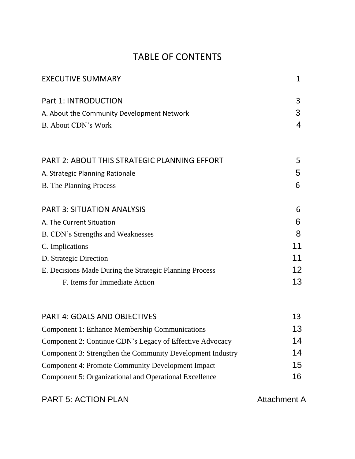## TABLE OF CONTENTS

| <b>EXECUTIVE SUMMARY</b>                                   | 1  |
|------------------------------------------------------------|----|
| Part 1: INTRODUCTION                                       | 3  |
| A. About the Community Development Network                 | 3  |
| <b>B.</b> About CDN's Work                                 | 4  |
| <b>PART 2: ABOUT THIS STRATEGIC PLANNING EFFORT</b>        | 5  |
| A. Strategic Planning Rationale                            | 5  |
| <b>B.</b> The Planning Process                             | 6  |
| <b>PART 3: SITUATION ANALYSIS</b>                          | 6  |
| A. The Current Situation                                   | 6  |
| <b>B. CDN's Strengths and Weaknesses</b>                   | 8  |
| C. Implications                                            | 11 |
| D. Strategic Direction                                     | 11 |
| E. Decisions Made During the Strategic Planning Process    | 12 |
| F. Items for Immediate Action                              | 13 |
| <b>PART 4: GOALS AND OBJECTIVES</b>                        | 13 |
| <b>Component 1: Enhance Membership Communications</b>      | 13 |
| Component 2: Continue CDN's Legacy of Effective Advocacy   | 14 |
| Component 3: Strengthen the Community Development Industry | 14 |
| Component 4: Promote Community Development Impact          | 15 |
| Component 5: Organizational and Operational Excellence     | 16 |
|                                                            |    |

PART 5: ACTION PLAN ATTACHMENT A Attachment A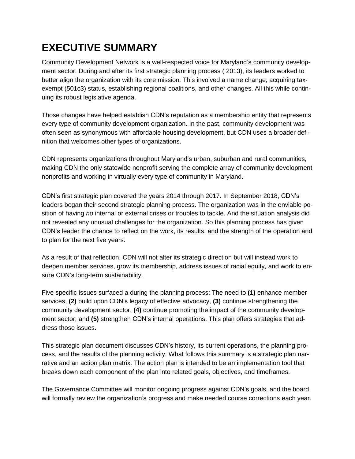## **EXECUTIVE SUMMARY**

Community Development Network is a well-respected voice for Maryland's community development sector. During and after its first strategic planning process ( 2013), its leaders worked to better align the organization with its core mission. This involved a name change, acquiring taxexempt (501c3) status, establishing regional coalitions, and other changes. All this while continuing its robust legislative agenda.

Those changes have helped establish CDN's reputation as a membership entity that represents every type of community development organization. In the past, community development was often seen as synonymous with affordable housing development, but CDN uses a broader definition that welcomes other types of organizations.

CDN represents organizations throughout Maryland's urban, suburban and rural communities, making CDN the only statewide nonprofit serving the complete array of community development nonprofits and working in virtually every type of community in Maryland.

CDN's first strategic plan covered the years 2014 through 2017. In September 2018, CDN's leaders began their second strategic planning process. The organization was in the enviable position of having *no* internal or external crises or troubles to tackle. And the situation analysis did not revealed any unusual challenges for the organization. So this planning process has given CDN's leader the chance to reflect on the work, its results, and the strength of the operation and to plan for the next five years.

As a result of that reflection, CDN will not alter its strategic direction but will instead work to deepen member services, grow its membership, address issues of racial equity, and work to ensure CDN's long-term sustainability.

Five specific issues surfaced a during the planning process: The need to **(1)** enhance member services, **(2)** build upon CDN's legacy of effective advocacy, **(3)** continue strengthening the community development sector, **(4)** continue promoting the impact of the community development sector, and **(5)** strengthen CDN's internal operations. This plan offers strategies that address those issues.

This strategic plan document discusses CDN's history, its current operations, the planning process, and the results of the planning activity. What follows this summary is a strategic plan narrative and an action plan matrix. The action plan is intended to be an implementation tool that breaks down each component of the plan into related goals, objectives, and timeframes.

The Governance Committee will monitor ongoing progress against CDN's goals, and the board will formally review the organization's progress and make needed course corrections each year.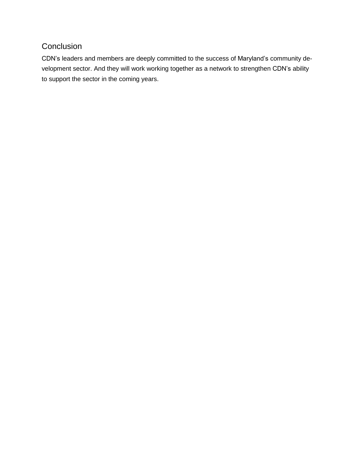### **Conclusion**

CDN's leaders and members are deeply committed to the success of Maryland's community development sector. And they will work working together as a network to strengthen CDN's ability to support the sector in the coming years.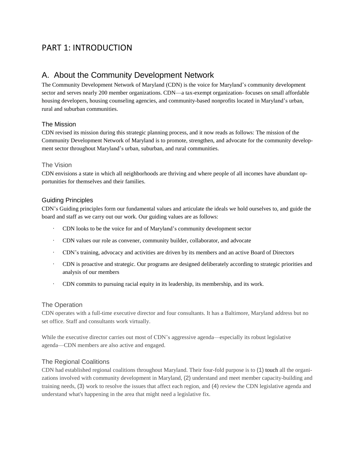### PART 1: INTRODUCTION

### A. About the Community Development Network

The Community Development Network of Maryland (CDN) is the voice for Maryland's community development sector and serves nearly 200 member organizations. CDN—a tax-exempt organization- focuses on small affordable housing developers, housing counseling agencies, and community-based nonprofits located in Maryland's urban, rural and suburban communities.

### The Mission

CDN revised its mission during this strategic planning process, and it now reads as follows: The mission of the Community Development Network of Maryland is to promote, strengthen, and advocate for the community development sector throughout Maryland's urban, suburban, and rural communities.

#### The Vision

CDN envisions a state in which all neighborhoods are thriving and where people of all incomes have abundant opportunities for themselves and their families.

#### Guiding Principles

CDN's Guiding principles form our fundamental values and articulate the ideals we hold ourselves to, and guide the board and staff as we carry out our work. Our guiding values are as follows:

- CDN looks to be the voice for and of Maryland's community development sector
- CDN values our role as convener, community builder, collaborator, and advocate
- CDN's training, advocacy and activities are driven by its members and an active Board of Directors
- CDN is proactive and strategic. Our programs are designed deliberately according to strategic priorities and analysis of our members
- CDN commits to pursuing racial equity in its leadership, its membership, and its work.

#### The Operation

CDN operates with a full-time executive director and four consultants. It has a Baltimore, Maryland address but no set office. Staff and consultants work virtually.

While the executive director carries out most of CDN's aggressive agenda—especially its robust legislative agenda—CDN members are also active and engaged.

#### The Regional Coalitions

CDN had established regional coalitions throughout Maryland. Their four-fold purpose is to (1) touch all the organizations involved with community development in Maryland, (2) understand and meet member capacity-building and training needs, (3) work to resolve the issues that affect each region, and (4) review the CDN legislative agenda and understand what's happening in the area that might need a legislative fix.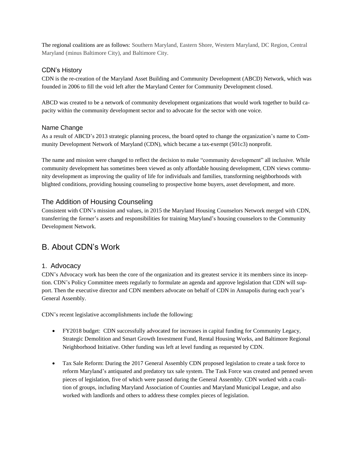The regional coalitions are as follows: Southern Maryland, Eastern Shore, Western Maryland, DC Region, Central Maryland (minus Baltimore City), and Baltimore City.

### CDN's History

CDN is the re-creation of the Maryland Asset Building and Community Development (ABCD) Network, which was founded in 2006 to fill the void left after the Maryland Center for Community Development closed.

ABCD was created to be a network of community development organizations that would work together to build capacity within the community development sector and to advocate for the sector with one voice.

#### Name Change

As a result of ABCD's 2013 strategic planning process, the board opted to change the organization's name to Community Development Network of Maryland (CDN), which became a tax-exempt (501c3) nonprofit.

The name and mission were changed to reflect the decision to make "community development" all inclusive. While community development has sometimes been viewed as only affordable housing development, CDN views community development as improving the quality of life for individuals and families, transforming neighborhoods with blighted conditions, providing housing counseling to prospective home buyers, asset development, and more.

### The Addition of Housing Counseling

Consistent with CDN's mission and values, in 2015 the Maryland Housing Counselors Network merged with CDN, transferring the former's assets and responsibilities for training Maryland's housing counselors to the Community Development Network.

### B. About CDN's Work

### 1. Advocacy

CDN's Advocacy work has been the core of the organization and its greatest service it its members since its inception. CDN's Policy Committee meets regularly to formulate an agenda and approve legislation that CDN will support. Then the executive director and CDN members advocate on behalf of CDN in Annapolis during each year's General Assembly.

CDN's recent legislative accomplishments include the following:

- FY2018 budget: CDN successfully advocated for increases in capital funding for Community Legacy, Strategic Demolition and Smart Growth Investment Fund, Rental Housing Works, and Baltimore Regional Neighborhood Initiative. Other funding was left at level funding as requested by CDN.
- Tax Sale Reform: During the 2017 General Assembly CDN proposed legislation to create a task force to reform Maryland's antiquated and predatory tax sale system. The Task Force was created and penned seven pieces of legislation, five of which were passed during the General Assembly. CDN worked with a coalition of groups, including Maryland Association of Counties and Maryland Municipal League, and also worked with landlords and others to address these complex pieces of legislation.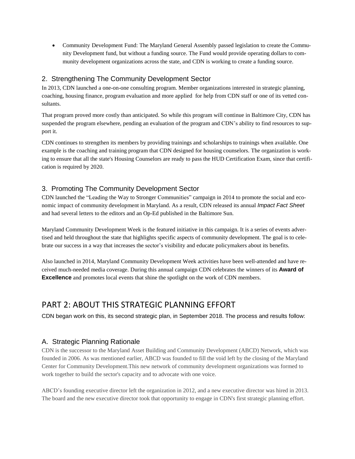Community Development Fund: The Maryland General Assembly passed legislation to create the Community Development fund, but without a funding source. The Fund would provide operating dollars to community development organizations across the state, and CDN is working to create a funding source.

### 2. Strengthening The Community Development Sector

In 2013, CDN launched a one-on-one consulting program. Member organizations interested in strategic planning, coaching, housing finance, program evaluation and more applied for help from CDN staff or one of its vetted consultants.

That program proved more costly than anticipated. So while this program will continue in Baltimore City, CDN has suspended the program elsewhere, pending an evaluation of the program and CDN's ability to find resources to support it.

CDN continues to strengthen its members by providing trainings and scholarships to trainings when available. One example is the coaching and training program that CDN designed for housing counselors. The organization is working to ensure that all the state's Housing Counselors are ready to pass the HUD Certification Exam, since that certification is required by 2020.

### 3. Promoting The Community Development Sector

CDN launched the "Leading the Way to Stronger Communities" campaign in 2014 to promote the social and economic impact of community development in Maryland. As a result, CDN released its annual *Impact Fact Sheet* and had several letters to the editors and an Op-Ed published in the Baltimore Sun.

Maryland Community Development Week is the featured initiative in this campaign. It is a series of events advertised and held throughout the state that highlights specific aspects of community development. The goal is to celebrate our success in a way that increases the sector's visibility and educate policymakers about its benefits.

Also launched in 2014, Maryland Community Development Week activities have been well-attended and have received much-needed media coverage. During this annual campaign CDN celebrates the winners of its **Award of Excellence** and promotes local events that shine the spotlight on the work of CDN members.

### PART 2: ABOUT THIS STRATEGIC PLANNING EFFORT

CDN began work on this, its second strategic plan, in September 2018. The process and results follow:

### A. Strategic Planning Rationale

CDN is the successor to the Maryland Asset Building and Community Development (ABCD) Network, which was founded in 2006. As was mentioned earlier, ABCD was founded to fill the void left by the closing of the Maryland Center for Community Development.This new network of community development organizations was formed to work together to build the sector's capacity and to advocate with one voice.

ABCD's founding executive director left the organization in 2012, and a new executive director was hired in 2013. The board and the new executive director took that opportunity to engage in CDN's first strategic planning effort.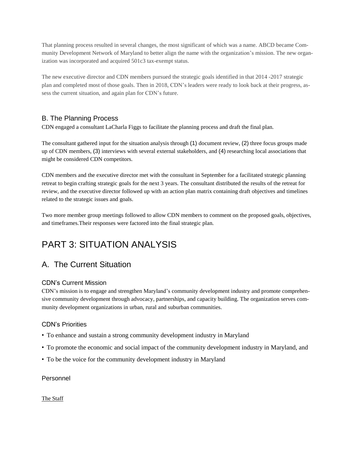That planning process resulted in several changes, the most significant of which was a name. ABCD became Community Development Network of Maryland to better align the name with the organization's mission. The new organization was incorporated and acquired 501c3 tax-exempt status.

The new executive director and CDN members pursued the strategic goals identified in that 2014 -2017 strategic plan and completed most of those goals. Then in 2018, CDN's leaders were ready to look back at their progress, assess the current situation, and again plan for CDN's future.

### B. The Planning Process

CDN engaged a consultant LaCharla Figgs to facilitate the planning process and draft the final plan.

The consultant gathered input for the situation analysis through (1) document review, (2) three focus groups made up of CDN members, (3) interviews with several external stakeholders, and (4) researching local associations that might be considered CDN competitors.

CDN members and the executive director met with the consultant in September for a facilitated strategic planning retreat to begin crafting strategic goals for the next 3 years. The consultant distributed the results of the retreat for review, and the executive director followed up with an action plan matrix containing draft objectives and timelines related to the strategic issues and goals.

Two more member group meetings followed to allow CDN members to comment on the proposed goals, objectives, and timeframes.Their responses were factored into the final strategic plan.

## PART 3: SITUATION ANALYSIS

### A. The Current Situation

### CDN's Current Mission

CDN's mission is to engage and strengthen Maryland's community development industry and promote comprehensive community development through advocacy, partnerships, and capacity building. The organization serves community development organizations in urban, rural and suburban communities.

### CDN's Priorities

- To enhance and sustain a strong community development industry in Maryland
- To promote the economic and social impact of the community development industry in Maryland, and
- To be the voice for the community development industry in Maryland

### Personnel

The Staff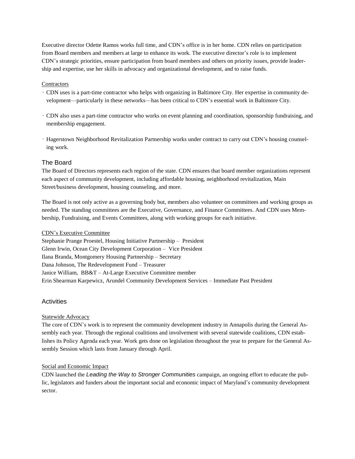Executive director Odette Ramos works full time, and CDN's office is in her home. CDN relies on participation from Board members and members at large to enhance its work. The executive director's role is to implement CDN's strategic priorities, ensure participation from board members and others on priority issues, provide leadership and expertise, use her skills in advocacy and organizational development, and to raise funds.

#### **Contractors**

- CDN uses is a part-time contractor who helps with organizing in Baltimore City. Her expertise in community development—particularly in these networks—has been critical to CDN's essential work in Baltimore City.
- CDN also uses a part-time contractor who works on event planning and coordination, sponsorship fundraising, and membership engagement.
- Hagerstown Neighborhood Revitalization Partnership works under contract to carry out CDN's housing counseling work.

#### The Board

The Board of Directors represents each region of the state. CDN ensures that board member organizations represent each aspect of community development, including affordable housing, neighborhood revitalization, Main Street/business development, housing counseling, and more.

The Board is not only active as a governing body but, members also volunteer on committees and working groups as needed. The standing committees are the Executive, Governance, and Finance Committees. And CDN uses Membership, Fundraising, and Events Committees, along with working groups for each initiative.

#### CDN's Executive Committee

Stephanie Prange Proestel, Housing Initiative Partnership – President Glenn Irwin, Ocean City Development Corporation – Vice President Ilana Branda, Montgomery Housing Partnership – Secretary Dana Johnson, The Redevelopment Fund – Treasurer Janice William, BB&T – At-Large Executive Committee member Erin Shearman Karpewicz, Arundel Community Development Services – Immediate Past President

#### Activities

#### Statewide Advocacy

The core of CDN's work is to represent the community development industry in Annapolis during the General Assembly each year. Through the regional coalitions and involvement with several statewide coalitions, CDN establishes its Policy Agenda each year. Work gets done on legislation throughout the year to prepare for the General Assembly Session which lasts from January through April.

#### Social and Economic Impact

CDN launched the *Leading the Way to Stronger Communities* campaign, an ongoing effort to educate the public, legislators and funders about the important social and economic impact of Maryland's community development sector.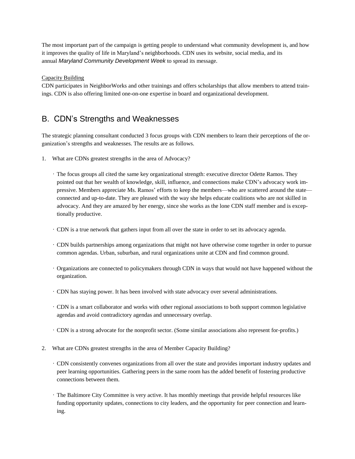The most important part of the campaign is getting people to understand what community development is, and how it improves the quality of life in Maryland's neighborhoods. CDN uses its website, social media, and its annual *Maryland Community Development Week* to spread its message.

#### Capacity Building

CDN participates in NeighborWorks and other trainings and offers scholarships that allow members to attend trainings. CDN is also offering limited one-on-one expertise in board and organizational development.

### B. CDN's Strengths and Weaknesses

The strategic planning consultant conducted 3 focus groups with CDN members to learn their perceptions of the organization's strengths and weaknesses. The results are as follows.

- 1. What are CDNs greatest strengths in the area of Advocacy?
	- The focus groups all cited the same key organizational strength: executive director Odette Ramos. They pointed out that her wealth of knowledge, skill, influence, and connections make CDN's advocacy work impressive. Members appreciate Ms. Ramos' efforts to keep the members—who are scattered around the state connected and up-to-date. They are pleased with the way she helps educate coalitions who are not skilled in advocacy. And they are amazed by her energy, since she works as the lone CDN staff member and is exceptionally productive.
	- CDN is a true network that gathers input from all over the state in order to set its advocacy agenda.
	- CDN builds partnerships among organizations that might not have otherwise come together in order to pursue common agendas. Urban, suburban, and rural organizations unite at CDN and find common ground.
	- Organizations are connected to policymakers through CDN in ways that would not have happened without the organization.
	- CDN has staying power. It has been involved with state advocacy over several administrations.
	- CDN is a smart collaborator and works with other regional associations to both support common legislative agendas and avoid contradictory agendas and unnecessary overlap.
	- CDN is a strong advocate for the nonprofit sector. (Some similar associations also represent for-profits.)
- 2. What are CDNs greatest strengths in the area of Member Capacity Building?
	- CDN consistently convenes organizations from all over the state and provides important industry updates and peer learning opportunities. Gathering peers in the same room has the added benefit of fostering productive connections between them.
	- The Baltimore City Committee is very active. It has monthly meetings that provide helpful resources like funding opportunity updates, connections to city leaders, and the opportunity for peer connection and learning.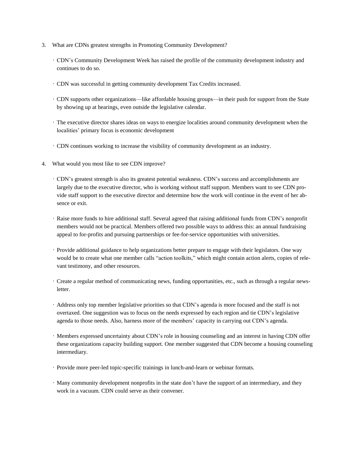- 3. What are CDNs greatest strengths in Promoting Community Development?
	- CDN's Community Development Week has raised the profile of the community development industry and continues to do so.
	- CDN was successful in getting community development Tax Credits increased.
	- CDN supports other organizations—like affordable housing groups—in their push for support from the State by showing up at hearings, even outside the legislative calendar.
	- The executive director shares ideas on ways to energize localities around community development when the localities' primary focus is economic development
	- CDN continues working to increase the visibility of community development as an industry.
- 4. What would you most like to see CDN improve?
	- CDN's greatest strength is also its greatest potential weakness. CDN's success and accomplishments are largely due to the executive director, who is working without staff support. Members want to see CDN provide staff support to the executive director and determine how the work will continue in the event of her absence or exit.
	- Raise more funds to hire additional staff. Several agreed that raising additional funds from CDN's nonprofit members would not be practical. Members offered two possible ways to address this: an annual fundraising appeal to for-profits and pursuing partnerships or fee-for-service opportunities with universities.
	- Provide additional guidance to help organizations better prepare to engage with their legislators. One way would be to create what one member calls "action toolkits," which might contain action alerts, copies of relevant testimony, and other resources.
	- Create a regular method of communicating news, funding opportunities, etc., such as through a regular newsletter.
	- Address only top member legislative priorities so that CDN's agenda is more focused and the staff is not overtaxed. One suggestion was to focus on the needs expressed by each region and tie CDN's legislative agenda to those needs. Also, harness more of the members' capacity in carrying out CDN's agenda.
	- Members expressed uncertainty about CDN's role in housing counseling and an interest in having CDN offer these organizations capacity building support. One member suggested that CDN become a housing counseling intermediary.
	- Provide more peer-led topic-specific trainings in lunch-and-learn or webinar formats.
	- Many community development nonprofits in the state don't have the support of an intermediary, and they work in a vacuum. CDN could serve as their convener.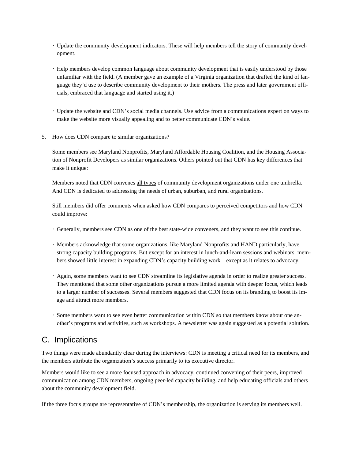- Update the community development indicators. These will help members tell the story of community development.
- Help members develop common language about community development that is easily understood by those unfamiliar with the field. (A member gave an example of a Virginia organization that drafted the kind of language they'd use to describe community development to their mothers. The press and later government officials, embraced that language and started using it.)
- Update the website and CDN's social media channels. Use advice from a communications expert on ways to make the website more visually appealing and to better communicate CDN's value.
- 5. How does CDN compare to similar organizations?

Some members see Maryland Nonprofits, Maryland Affordable Housing Coalition, and the Housing Association of Nonprofit Developers as similar organizations. Others pointed out that CDN has key differences that make it unique:

Members noted that CDN convenes all types of community development organizations under one umbrella. And CDN is dedicated to addressing the needs of urban, suburban, and rural organizations.

Still members did offer comments when asked how CDN compares to perceived competitors and how CDN could improve:

- Generally, members see CDN as one of the best state-wide conveners, and they want to see this continue.
- Members acknowledge that some organizations, like Maryland Nonprofits and HAND particularly, have strong capacity building programs. But except for an interest in lunch-and-learn sessions and webinars, members showed little interest in expanding CDN's capacity building work—except as it relates to advocacy.
- Again, some members want to see CDN streamline its legislative agenda in order to realize greater success. They mentioned that some other organizations pursue a more limited agenda with deeper focus, which leads to a larger number of successes. Several members suggested that CDN focus on its branding to boost its image and attract more members.
- Some members want to see even better communication within CDN so that members know about one another's programs and activities, such as workshops. A newsletter was again suggested as a potential solution.

### C. Implications

Two things were made abundantly clear during the interviews: CDN is meeting a critical need for its members, and the members attribute the organization's success primarily to its executive director.

Members would like to see a more focused approach in advocacy, continued convening of their peers, improved communication among CDN members, ongoing peer-led capacity building, and help educating officials and others about the community development field.

If the three focus groups are representative of CDN's membership, the organization is serving its members well.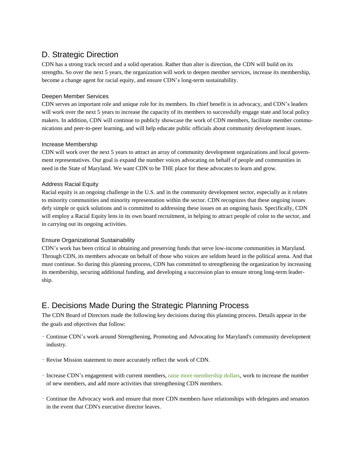### D. Strategic Direction

CDN has a strong track record and a solid operation. Rather than alter is direction, the CDN will build on its strengths. So over the next 5 years, the organization will work to deepen member services, increase its membership, become a change agent for racial equity, and ensure CDN's long-term sustainability.

#### Deepen Member Services

CDN serves an important role and unique role for its members. Its chief benefit is in advocacy, and CDN's leaders will work over the next 5 years to increase the capacity of its members to successfully engage state and local policy makers. In addition, CDN will continue to publicly showcase the work of CDN members, facilitate member communications and peer-to-peer learning, and will help educate public officials about community development issues.

#### Increase Membership

CDN will work over the next 5 years to attract an array of community development organizations and local government representatives. Our goal is expand the number voices advocating on behalf of people and communities in need in the State of Maryland. We want CDN to be THE place for these advocates to learn and grow.

#### Address Racial Equity

Racial equity is an ongoing challenge in the U.S. and in the community development sector, especially as it relates to minority communities and minority representation within the sector. CDN recognizes that these ongoing issues defy simple or quick solutions and is committed to addressing these issues on an ongoing basis. Specifically, CDN will employ a Racial Equity lens in its own board recruitment, in helping to attract people of color to the sector, and in carrying out its ongoing activities.

#### Ensure Organizational Sustainability

CDN's work has been critical in obtaining and preserving funds that serve low-income communities in Maryland. Through CDN, its members advocate on behalf of those who voices are seldom heard in the political arena. And that must continue. So during this planning process, CDN has committed to strengthening the organization by increasing its membership, securing additional funding, and developing a succession plan to ensure strong long-term leadership.

### E. Decisions Made During the Strategic Planning Process

The CDN Board of Directors made the following key decisions during this planning process. Details appear in the the goals and objectives that follow:

- Continue CDN's work around Strengthening, Promoting and Advocating for Maryland's community development industry.
- Revise Mission statement to more accurately reflect the work of CDN.
- Increase CDN's engagement with current members, raise more membership dollars, work to increase the number of new members, and add more activities that strengthening CDN members.
- Continue the Advocacy work and ensure that more CDN members have relationships with delegates and senators in the event that CDN's executive director leaves.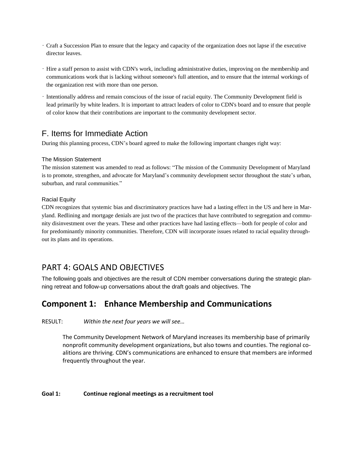- Craft a Succession Plan to ensure that the legacy and capacity of the organization does not lapse if the executive director leaves.
- Hire a staff person to assist with CDN's work, including administrative duties, improving on the membership and communications work that is lacking without someone's full attention, and to ensure that the internal workings of the organization rest with more than one person.
- Intentionally address and remain conscious of the issue of racial equity. The Community Development field is lead primarily by white leaders. It is important to attract leaders of color to CDN's board and to ensure that people of color know that their contributions are important to the community development sector.

### F. Items for Immediate Action

During this planning process, CDN's board agreed to make the following important changes right way:

#### The Mission Statement

The mission statement was amended to read as follows: "The mission of the Community Development of Maryland is to promote, strengthen, and advocate for Maryland's community development sector throughout the state's urban, suburban, and rural communities."

#### Racial Equity

CDN recognizes that systemic bias and discriminatory practices have had a lasting effect in the US and here in Maryland. Redlining and mortgage denials are just two of the practices that have contributed to segregation and community disinvestment over the years. These and other practices have had lasting effects—both for people of color and for predominantly minority communities. Therefore, CDN will incorporate issues related to racial equality throughout its plans and its operations.

### PART 4: GOALS AND OBJECTIVES

The following goals and objectives are the result of CDN member conversations during the strategic planning retreat and follow-up conversations about the draft goals and objectives. The

### **Component 1: Enhance Membership and Communications**

RESULT: *Within the next four years we will see…*

The Community Development Network of Maryland increases its membership base of primarily nonprofit community development organizations, but also towns and counties. The regional coalitions are thriving. CDN's communications are enhanced to ensure that members are informed frequently throughout the year.

#### **Goal 1: Continue regional meetings as a recruitment tool**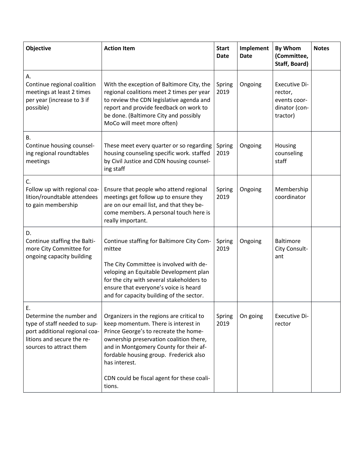| <b>Objective</b>                                                                                                                                         | <b>Action Item</b>                                                                                                                                                                                                                                                                                                                | <b>Start</b><br><b>Date</b> | Implement<br><b>Date</b> | By Whom<br>(Committee,<br>Staff, Board)                                      | <b>Notes</b> |
|----------------------------------------------------------------------------------------------------------------------------------------------------------|-----------------------------------------------------------------------------------------------------------------------------------------------------------------------------------------------------------------------------------------------------------------------------------------------------------------------------------|-----------------------------|--------------------------|------------------------------------------------------------------------------|--------------|
| А.<br>Continue regional coalition<br>meetings at least 2 times<br>per year (increase to 3 if<br>possible)                                                | With the exception of Baltimore City, the<br>regional coalitions meet 2 times per year<br>to review the CDN legislative agenda and<br>report and provide feedback on work to<br>be done. (Baltimore City and possibly<br>MoCo will meet more often)                                                                               | Spring<br>2019              | Ongoing                  | <b>Executive Di-</b><br>rector,<br>events coor-<br>dinator (con-<br>tractor) |              |
| Β.<br>Continue housing counsel-<br>ing regional roundtables<br>meetings                                                                                  | These meet every quarter or so regarding<br>housing counseling specific work. staffed<br>by Civil Justice and CDN housing counsel-<br>ing staff                                                                                                                                                                                   | Spring<br>2019              | Ongoing                  | Housing<br>counseling<br>staff                                               |              |
| C.<br>Follow up with regional coa-<br>lition/roundtable attendees<br>to gain membership                                                                  | Ensure that people who attend regional<br>meetings get follow up to ensure they<br>are on our email list, and that they be-<br>come members. A personal touch here is<br>really important.                                                                                                                                        | Spring<br>2019              | Ongoing                  | Membership<br>coordinator                                                    |              |
| D.<br>Continue staffing the Balti-<br>more City Committee for<br>ongoing capacity building                                                               | Continue staffing for Baltimore City Com-<br>mittee<br>The City Committee is involved with de-<br>veloping an Equitable Development plan<br>for the city with several stakeholders to<br>ensure that everyone's voice is heard<br>and for capacity building of the sector.                                                        | Spring<br>2019              | Ongoing                  | <b>Baltimore</b><br>City Consult-<br>ant                                     |              |
| Ε.<br>Determine the number and<br>type of staff needed to sup-<br>port additional regional coa-<br>litions and secure the re-<br>sources to attract them | Organizers in the regions are critical to<br>keep momentum. There is interest in<br>Prince George's to recreate the home-<br>ownership preservation coalition there,<br>and in Montgomery County for their af-<br>fordable housing group. Frederick also<br>has interest.<br>CDN could be fiscal agent for these coali-<br>tions. | Spring<br>2019              | On going                 | <b>Executive Di-</b><br>rector                                               |              |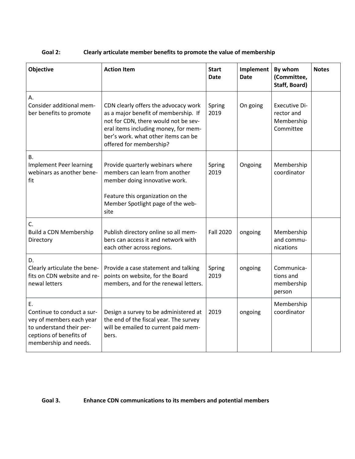### **Goal 2: Clearly articulate member benefits to promote the value of membership**

| Objective                                                                                                                                    | <b>Action Item</b>                                                                                                                                                                                                             | <b>Start</b><br>Date | Implement<br><b>Date</b> | By whom<br>(Committee,<br>Staff, Board)                       | <b>Notes</b> |
|----------------------------------------------------------------------------------------------------------------------------------------------|--------------------------------------------------------------------------------------------------------------------------------------------------------------------------------------------------------------------------------|----------------------|--------------------------|---------------------------------------------------------------|--------------|
| А.<br>Consider additional mem-<br>ber benefits to promote                                                                                    | CDN clearly offers the advocacy work<br>as a major benefit of membership. If<br>not for CDN, there would not be sev-<br>eral items including money, for mem-<br>ber's work. what other items can be<br>offered for membership? | Spring<br>2019       | On going                 | <b>Executive Di-</b><br>rector and<br>Membership<br>Committee |              |
| <b>B.</b><br><b>Implement Peer learning</b><br>webinars as another bene-<br>fit                                                              | Provide quarterly webinars where<br>members can learn from another<br>member doing innovative work.<br>Feature this organization on the<br>Member Spotlight page of the web-<br>site                                           | Spring<br>2019       | Ongoing                  | Membership<br>coordinator                                     |              |
| C.<br><b>Build a CDN Membership</b><br>Directory                                                                                             | Publish directory online so all mem-<br>bers can access it and network with<br>each other across regions.                                                                                                                      | <b>Fall 2020</b>     | ongoing                  | Membership<br>and commu-<br>nications                         |              |
| D.<br>Clearly articulate the bene-<br>fits on CDN website and re-<br>newal letters                                                           | Provide a case statement and talking<br>points on website, for the Board<br>members, and for the renewal letters.                                                                                                              | Spring<br>2019       | ongoing                  | Communica-<br>tions and<br>membership<br>person               |              |
| Ε.<br>Continue to conduct a sur-<br>vey of members each year<br>to understand their per-<br>ceptions of benefits of<br>membership and needs. | Design a survey to be administered at<br>the end of the fiscal year. The survey<br>will be emailed to current paid mem-<br>bers.                                                                                               | 2019                 | ongoing                  | Membership<br>coordinator                                     |              |

### **Goal 3. Enhance CDN communications to its members and potential members**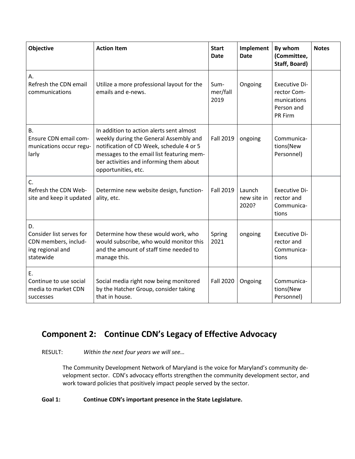| Objective                                                                               | <b>Action Item</b>                                                                                                                                                                                                                            | <b>Start</b><br><b>Date</b> | Implement<br><b>Date</b>       | By whom<br>(Committee,<br>Staff, Board)                                     | <b>Notes</b> |
|-----------------------------------------------------------------------------------------|-----------------------------------------------------------------------------------------------------------------------------------------------------------------------------------------------------------------------------------------------|-----------------------------|--------------------------------|-----------------------------------------------------------------------------|--------------|
| А.<br>Refresh the CDN email<br>communications                                           | Utilize a more professional layout for the<br>emails and e-news.                                                                                                                                                                              | Sum-<br>mer/fall<br>2019    | Ongoing                        | <b>Executive Di-</b><br>rector Com-<br>munications<br>Person and<br>PR Firm |              |
| <b>B.</b><br>Ensure CDN email com-<br>munications occur regu-<br>larly                  | In addition to action alerts sent almost<br>weekly during the General Assembly and<br>notification of CD Week, schedule 4 or 5<br>messages to the email list featuring mem-<br>ber activities and informing them about<br>opportunities, etc. | <b>Fall 2019</b>            | ongoing                        | Communica-<br>tions(New<br>Personnel)                                       |              |
| C.<br>Refresh the CDN Web-<br>site and keep it updated                                  | Determine new website design, function-<br>ality, etc.                                                                                                                                                                                        | <b>Fall 2019</b>            | Launch<br>new site in<br>2020? | <b>Executive Di-</b><br>rector and<br>Communica-<br>tions                   |              |
| D.<br>Consider list serves for<br>CDN members, includ-<br>ing regional and<br>statewide | Determine how these would work, who<br>would subscribe, who would monitor this<br>and the amount of staff time needed to<br>manage this.                                                                                                      | Spring<br>2021              | ongoing                        | <b>Executive Di-</b><br>rector and<br>Communica-<br>tions                   |              |
| Ε.<br>Continue to use social<br>media to market CDN<br>successes                        | Social media right now being monitored<br>by the Hatcher Group, consider taking<br>that in house.                                                                                                                                             | <b>Fall 2020</b>            | Ongoing                        | Communica-<br>tions(New<br>Personnel)                                       |              |

### **Component 2: Continue CDN's Legacy of Effective Advocacy**

RESULT: *Within the next four years we will see…*

The Community Development Network of Maryland is the voice for Maryland's community development sector. CDN's advocacy efforts strengthen the community development sector, and work toward policies that positively impact people served by the sector.

### **Goal 1: Continue CDN's important presence in the State Legislature.**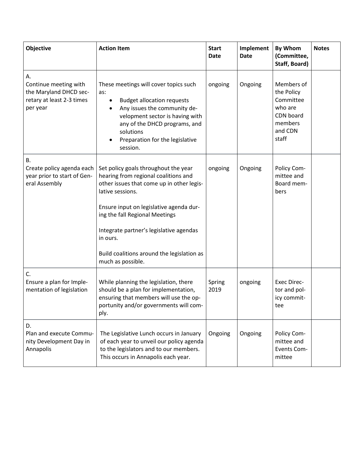| Objective                                                                                      | <b>Action Item</b>                                                                                                                                                                                                                                                                                                                                   | <b>Start</b><br><b>Date</b> | Implement<br><b>Date</b> | <b>By Whom</b><br>(Committee,<br>Staff, Board)                                               | <b>Notes</b> |
|------------------------------------------------------------------------------------------------|------------------------------------------------------------------------------------------------------------------------------------------------------------------------------------------------------------------------------------------------------------------------------------------------------------------------------------------------------|-----------------------------|--------------------------|----------------------------------------------------------------------------------------------|--------------|
| А.<br>Continue meeting with<br>the Maryland DHCD sec-<br>retary at least 2-3 times<br>per year | These meetings will cover topics such<br>as:<br><b>Budget allocation requests</b><br>Any issues the community de-<br>velopment sector is having with<br>any of the DHCD programs, and<br>solutions<br>Preparation for the legislative<br>session.                                                                                                    | ongoing                     | Ongoing                  | Members of<br>the Policy<br>Committee<br>who are<br>CDN board<br>members<br>and CDN<br>staff |              |
| <b>B.</b><br>Create policy agenda each<br>year prior to start of Gen-<br>eral Assembly         | Set policy goals throughout the year<br>hearing from regional coalitions and<br>other issues that come up in other legis-<br>lative sessions.<br>Ensure input on legislative agenda dur-<br>ing the fall Regional Meetings<br>Integrate partner's legislative agendas<br>in ours.<br>Build coalitions around the legislation as<br>much as possible. | ongoing                     | Ongoing                  | Policy Com-<br>mittee and<br>Board mem-<br>bers                                              |              |
| C.<br>Ensure a plan for Imple-<br>mentation of legislation                                     | While planning the legislation, there<br>should be a plan for implementation,<br>ensuring that members will use the op-<br>portunity and/or governments will com-<br>ply.                                                                                                                                                                            | Spring<br>2019              | ongoing                  | <b>Exec Direc-</b><br>tor and pol-<br>icy commit-<br>tee                                     |              |
| D.<br>Plan and execute Commu-<br>nity Development Day in<br>Annapolis                          | The Legislative Lunch occurs in January<br>of each year to unveil our policy agenda<br>to the legislators and to our members.<br>This occurs in Annapolis each year.                                                                                                                                                                                 | Ongoing                     | Ongoing                  | Policy Com-<br>mittee and<br><b>Events Com-</b><br>mittee                                    |              |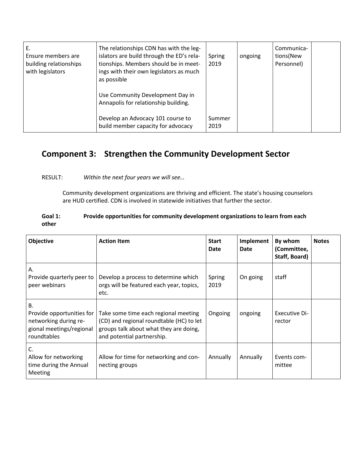| Е.<br>Ensure members are<br>building relationships<br>with legislators | The relationships CDN has with the leg-<br>islators are build through the ED's rela-<br>tionships. Members should be in meet-<br>ings with their own legislators as much<br>as possible<br>Use Community Development Day in<br>Annapolis for relationship building. | Spring<br>2019 | ongoing | Communica-<br>tions(New<br>Personnel) |  |
|------------------------------------------------------------------------|---------------------------------------------------------------------------------------------------------------------------------------------------------------------------------------------------------------------------------------------------------------------|----------------|---------|---------------------------------------|--|
|                                                                        | Develop an Advocacy 101 course to<br>build member capacity for advocacy                                                                                                                                                                                             | Summer<br>2019 |         |                                       |  |

### **Component 3: Strengthen the Community Development Sector**

### RESULT: *Within the next four years we will see…*

Community development organizations are thriving and efficient. The state's housing counselors are HUD certified. CDN is involved in statewide initiatives that further the sector.

#### **Goal 1: Provide opportunities for community development organizations to learn from each other**

| Objective                                                                                           | <b>Action Item</b>                                                                                                                                       | <b>Start</b><br>Date | <b>Implement</b><br>Date | By whom<br>(Committee,<br>Staff, Board) | <b>Notes</b> |
|-----------------------------------------------------------------------------------------------------|----------------------------------------------------------------------------------------------------------------------------------------------------------|----------------------|--------------------------|-----------------------------------------|--------------|
| Α.<br>Provide quarterly peer to<br>peer webinars                                                    | Develop a process to determine which<br>orgs will be featured each year, topics,<br>etc.                                                                 | Spring<br>2019       | On going                 | staff                                   |              |
| В.<br>Provide opportunities for<br>networking during re-<br>gional meetings/regional<br>roundtables | Take some time each regional meeting<br>(CD) and regional roundtable (HC) to let<br>groups talk about what they are doing,<br>and potential partnership. | Ongoing              | ongoing                  | Executive Di-<br>rector                 |              |
| C.<br>Allow for networking<br>time during the Annual<br>Meeting                                     | Allow for time for networking and con-<br>necting groups                                                                                                 | Annually             | Annually                 | Events com-<br>mittee                   |              |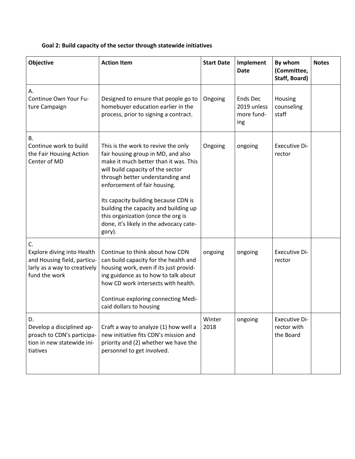### **Goal 2: Build capacity of the sector through statewide initiatives**

| Objective                                                                                                        | <b>Action Item</b>                                                                                                                                                                                                                                                                                                                                                                                      | <b>Start Date</b> | Implement<br><b>Date</b>                     | By whom<br>(Committee,<br>Staff, Board)          | <b>Notes</b> |
|------------------------------------------------------------------------------------------------------------------|---------------------------------------------------------------------------------------------------------------------------------------------------------------------------------------------------------------------------------------------------------------------------------------------------------------------------------------------------------------------------------------------------------|-------------------|----------------------------------------------|--------------------------------------------------|--------------|
| А.<br>Continue Own Your Fu-<br>ture Campaign                                                                     | Designed to ensure that people go to<br>homebuyer education earlier in the<br>process, prior to signing a contract.                                                                                                                                                                                                                                                                                     | Ongoing           | Ends Dec<br>2019 unless<br>more fund-<br>ing | Housing<br>counseling<br>staff                   |              |
| <b>B.</b><br>Continue work to build<br>the Fair Housing Action<br>Center of MD                                   | This is the work to revive the only<br>fair housing group in MD, and also<br>make it much better than it was. This<br>will build capacity of the sector<br>through better understanding and<br>enforcement of fair housing.<br>Its capacity building because CDN is<br>building the capacity and building up<br>this organization (once the org is<br>done, it's likely in the advocacy cate-<br>gory). | Ongoing           | ongoing                                      | <b>Executive Di-</b><br>rector                   |              |
| C.<br>Explore diving into Health<br>and Housing field, particu-<br>larly as a way to creatively<br>fund the work | Continue to think about how CDN<br>can build capacity for the health and<br>housing work, even if its just provid-<br>ing guidance as to how to talk about<br>how CD work intersects with health.<br>Continue exploring connecting Medi-<br>caid dollars to housing                                                                                                                                     | ongoing           | ongoing                                      | <b>Executive Di-</b><br>rector                   |              |
| D.<br>Develop a disciplined ap-<br>proach to CDN's participa-<br>tion in new statewide ini-<br>tiatives          | Craft a way to analyze (1) how well a<br>new initiative fits CDN's mission and<br>priority and (2) whether we have the<br>personnel to get involved.                                                                                                                                                                                                                                                    | Winter<br>2018    | ongoing                                      | <b>Executive Di-</b><br>rector with<br>the Board |              |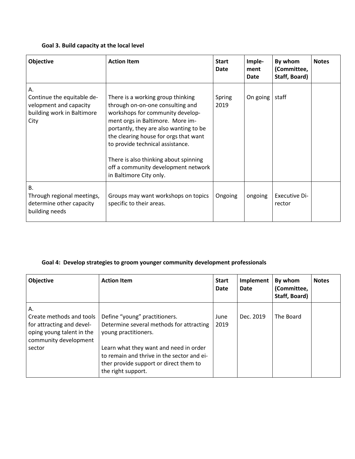### **Goal 3. Build capacity at the local level**

| Objective                                                                                        | <b>Action Item</b>                                                                                                                                                                                                                                                                                                                                                              | <b>Start</b><br>Date | Imple-<br>ment<br>Date | By whom<br>(Committee,<br>Staff, Board) | <b>Notes</b> |
|--------------------------------------------------------------------------------------------------|---------------------------------------------------------------------------------------------------------------------------------------------------------------------------------------------------------------------------------------------------------------------------------------------------------------------------------------------------------------------------------|----------------------|------------------------|-----------------------------------------|--------------|
| А.<br>Continue the equitable de-<br>velopment and capacity<br>building work in Baltimore<br>City | There is a working group thinking<br>through on-on-one consulting and<br>workshops for community develop-<br>ment orgs in Baltimore. More im-<br>portantly, they are also wanting to be<br>the clearing house for orgs that want<br>to provide technical assistance.<br>There is also thinking about spinning<br>off a community development network<br>in Baltimore City only. | Spring<br>2019       | On going               | staff                                   |              |
| <b>B.</b><br>Through regional meetings,<br>determine other capacity<br>building needs            | Groups may want workshops on topics<br>specific to their areas.                                                                                                                                                                                                                                                                                                                 | Ongoing              | ongoing                | Executive Di-<br>rector                 |              |

### **Goal 4: Develop strategies to groom younger community development professionals**

| Objective                                                                                                         | <b>Action Item</b>                                                                                                                                   | <b>Start</b><br>Date | Implement<br><b>Date</b> | By whom<br>(Committee,<br>Staff, Board) | <b>Notes</b> |
|-------------------------------------------------------------------------------------------------------------------|------------------------------------------------------------------------------------------------------------------------------------------------------|----------------------|--------------------------|-----------------------------------------|--------------|
| А.<br>Create methods and tools<br>for attracting and devel-<br>oping young talent in the<br>community development | Define "young" practitioners.<br>Determine several methods for attracting<br>young practitioners.                                                    | June<br>2019         | Dec. 2019                | The Board                               |              |
| sector                                                                                                            | Learn what they want and need in order<br>to remain and thrive in the sector and ei-<br>ther provide support or direct them to<br>the right support. |                      |                          |                                         |              |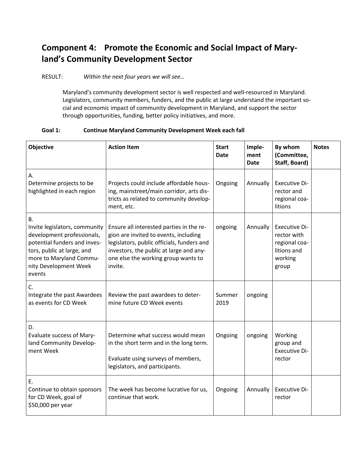## **Component 4: Promote the Economic and Social Impact of Maryland's Community Development Sector**

RESULT: *Within the next four years we will see…*

Maryland's community development sector is well respected and well-resourced in Maryland. Legislators, community members, funders, and the public at large understand the important social and economic impact of community development in Maryland, and support the sector through opportunities, funding, better policy initiatives, and more.

### **Goal 1: Continue Maryland Community Development Week each fall**

| Objective                                                                                                                                                                                     | <b>Action Item</b>                                                                                                                                                                                                           | <b>Start</b><br>Date | Imple-<br>ment<br><b>Date</b> | By whom<br>(Committee,<br>Staff, Board)                                          | <b>Notes</b> |
|-----------------------------------------------------------------------------------------------------------------------------------------------------------------------------------------------|------------------------------------------------------------------------------------------------------------------------------------------------------------------------------------------------------------------------------|----------------------|-------------------------------|----------------------------------------------------------------------------------|--------------|
| А.<br>Determine projects to be<br>highlighted in each region                                                                                                                                  | Projects could include affordable hous-<br>ing, mainstreet/main corridor, arts dis-<br>tricts as related to community develop-<br>ment, etc.                                                                                 | Ongoing              | Annually                      | Executive Di-<br>rector and<br>regional coa-<br>litions                          |              |
| В.<br>Invite legislators, community<br>development professionals,<br>potential funders and inves-<br>tors, public at large, and<br>more to Maryland Commu-<br>nity Development Week<br>events | Ensure all interested parties in the re-<br>gion are invited to events, including<br>legislators, public officials, funders and<br>investors, the public at large and any-<br>one else the working group wants to<br>invite. | ongoing              | Annually                      | Executive Di-<br>rector with<br>regional coa-<br>litions and<br>working<br>group |              |
| C.<br>Integrate the past Awardees<br>as events for CD Week                                                                                                                                    | Review the past awardees to deter-<br>mine future CD Week events                                                                                                                                                             | Summer<br>2019       | ongoing                       |                                                                                  |              |
| D.<br>Evaluate success of Mary-<br>land Community Develop-<br>ment Week                                                                                                                       | Determine what success would mean<br>in the short term and in the long term.<br>Evaluate using surveys of members,<br>legislators, and participants.                                                                         | Ongoing              | ongoing                       | Working<br>group and<br><b>Executive Di-</b><br>rector                           |              |
| Ε.<br>Continue to obtain sponsors<br>for CD Week, goal of<br>\$50,000 per year                                                                                                                | The week has become lucrative for us,<br>continue that work.                                                                                                                                                                 | Ongoing              | Annually                      | Executive Di-<br>rector                                                          |              |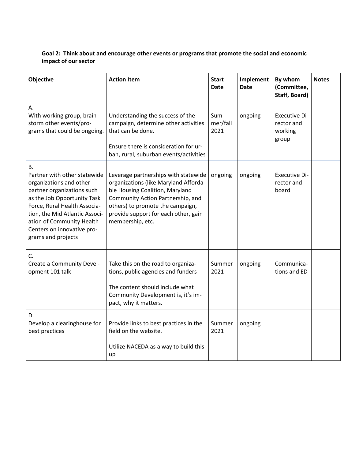### **Goal 2: Think about and encourage other events or programs that promote the social and economic impact of our sector**

| Objective                                                                                                                                                                                                                                                                            | <b>Action Item</b>                                                                                                                                                                                                                                    | <b>Start</b><br>Date     | Implement<br><b>Date</b> | By whom<br>(Committee,<br>Staff, Board)                | <b>Notes</b> |
|--------------------------------------------------------------------------------------------------------------------------------------------------------------------------------------------------------------------------------------------------------------------------------------|-------------------------------------------------------------------------------------------------------------------------------------------------------------------------------------------------------------------------------------------------------|--------------------------|--------------------------|--------------------------------------------------------|--------------|
| А.<br>With working group, brain-<br>storm other events/pro-<br>grams that could be ongoing.                                                                                                                                                                                          | Understanding the success of the<br>campaign, determine other activities<br>that can be done.<br>Ensure there is consideration for ur-<br>ban, rural, suburban events/activities                                                                      | Sum-<br>mer/fall<br>2021 | ongoing                  | <b>Executive Di-</b><br>rector and<br>working<br>group |              |
| <b>B.</b><br>Partner with other statewide<br>organizations and other<br>partner organizations such<br>as the Job Opportunity Task<br>Force, Rural Health Associa-<br>tion, the Mid Atlantic Associ-<br>ation of Community Health<br>Centers on innovative pro-<br>grams and projects | Leverage partnerships with statewide<br>organizations (like Maryland Afforda-<br>ble Housing Coalition, Maryland<br>Community Action Partnership, and<br>others) to promote the campaign,<br>provide support for each other, gain<br>membership, etc. | ongoing                  | ongoing                  | <b>Executive Di-</b><br>rector and<br>board            |              |
| C.<br>Create a Community Devel-<br>opment 101 talk                                                                                                                                                                                                                                   | Take this on the road to organiza-<br>tions, public agencies and funders<br>The content should include what<br>Community Development is, it's im-<br>pact, why it matters.                                                                            | Summer<br>2021           | ongoing                  | Communica-<br>tions and ED                             |              |
| D.<br>Develop a clearinghouse for<br>best practices                                                                                                                                                                                                                                  | Provide links to best practices in the<br>field on the website.<br>Utilize NACEDA as a way to build this<br>up                                                                                                                                        | Summer<br>2021           | ongoing                  |                                                        |              |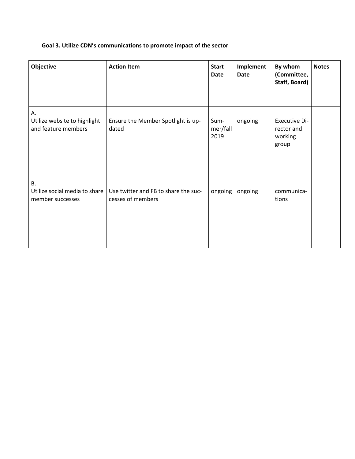### **Goal 3. Utilize CDN's communications to promote impact of the sector**

| Objective                                                      | <b>Action Item</b>                                        | <b>Start</b><br><b>Date</b> | Implement<br><b>Date</b> | By whom<br>(Committee,<br>Staff, Board)                | <b>Notes</b> |
|----------------------------------------------------------------|-----------------------------------------------------------|-----------------------------|--------------------------|--------------------------------------------------------|--------------|
| А.<br>Utilize website to highlight<br>and feature members      | Ensure the Member Spotlight is up-<br>dated               | Sum-<br>mer/fall<br>2019    | ongoing                  | <b>Executive Di-</b><br>rector and<br>working<br>group |              |
| <b>B.</b><br>Utilize social media to share<br>member successes | Use twitter and FB to share the suc-<br>cesses of members | ongoing                     | ongoing                  | communica-<br>tions                                    |              |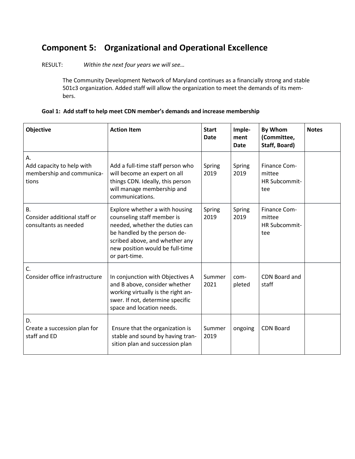## **Component 5: Organizational and Operational Excellence**

RESULT: *Within the next four years we will see…*

The Community Development Network of Maryland continues as a financially strong and stable 501c3 organization. Added staff will allow the organization to meet the demands of its members.

| Goal 1: Add staff to help meet CDN member's demands and increase membership |
|-----------------------------------------------------------------------------|
|-----------------------------------------------------------------------------|

| <b>Objective</b>                                                      | <b>Action Item</b>                                                                                                                                                                                                   | <b>Start</b><br><b>Date</b> | Imple-<br>ment<br>Date | <b>By Whom</b><br>(Committee,<br>Staff, Board)        | <b>Notes</b> |
|-----------------------------------------------------------------------|----------------------------------------------------------------------------------------------------------------------------------------------------------------------------------------------------------------------|-----------------------------|------------------------|-------------------------------------------------------|--------------|
| А.<br>Add capacity to help with<br>membership and communica-<br>tions | Add a full-time staff person who<br>will become an expert on all<br>things CDN. Ideally, this person<br>will manage membership and<br>communications.                                                                | Spring<br>2019              | Spring<br>2019         | Finance Com-<br>mittee<br><b>HR Subcommit-</b><br>tee |              |
| B.<br>Consider additional staff or<br>consultants as needed           | Explore whether a with housing<br>counseling staff member is<br>needed, whether the duties can<br>be handled by the person de-<br>scribed above, and whether any<br>new position would be full-time<br>or part-time. | Spring<br>2019              | Spring<br>2019         | Finance Com-<br>mittee<br><b>HR Subcommit-</b><br>tee |              |
| C.<br>Consider office infrastructure                                  | In conjunction with Objectives A<br>and B above, consider whether<br>working virtually is the right an-<br>swer. If not, determine specific<br>space and location needs.                                             | Summer<br>2021              | com-<br>pleted         | CDN Board and<br>staff                                |              |
| D.<br>Create a succession plan for<br>staff and ED                    | Ensure that the organization is<br>stable and sound by having tran-<br>sition plan and succession plan                                                                                                               | Summer<br>2019              | ongoing                | <b>CDN Board</b>                                      |              |